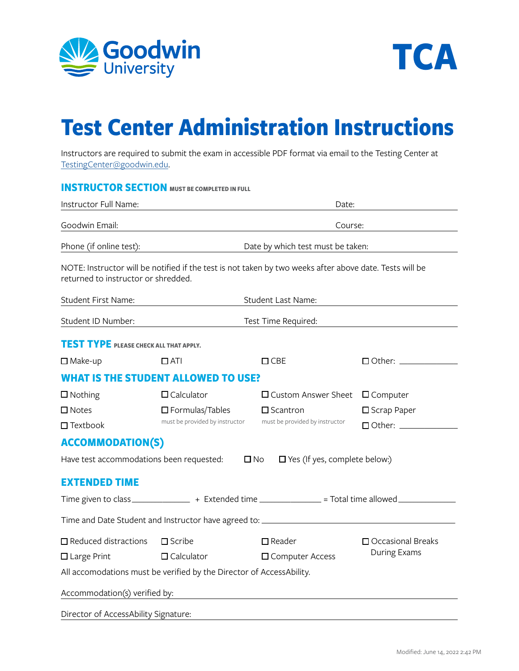



## **Test Center Administration Instructions**

Instructors are required to submit the exam in accessible PDF format via email to the Testing Center at [TestingCenter@goodwin.edu.](mailto:TestingCenter%40goodwin.edu?subject=TestingCenter%40goodwin.edu)

|                                               | <b>INSTRUCTOR SECTION MUST BE COMPLETED IN FULL</b>                  |                                                                                                          |                                                  |  |  |
|-----------------------------------------------|----------------------------------------------------------------------|----------------------------------------------------------------------------------------------------------|--------------------------------------------------|--|--|
| Instructor Full Name:                         |                                                                      | Date:                                                                                                    |                                                  |  |  |
| Goodwin Email:                                |                                                                      | Course:                                                                                                  |                                                  |  |  |
| Phone (if online test):                       |                                                                      | Date by which test must be taken:                                                                        |                                                  |  |  |
| returned to instructor or shredded.           |                                                                      | NOTE: Instructor will be notified if the test is not taken by two weeks after above date. Tests will be  |                                                  |  |  |
| Student First Name:                           |                                                                      | Student Last Name:                                                                                       |                                                  |  |  |
| Student ID Number:                            | Test Time Required:                                                  |                                                                                                          |                                                  |  |  |
| <b>TEST TYPE PLEASE CHECK ALL THAT APPLY.</b> |                                                                      |                                                                                                          |                                                  |  |  |
| $\square$ Make-up                             | $\Box$ ATI                                                           | $\square$ CBE                                                                                            | $\Box$ Other: $\_\_\_\_\_\_\_\_\_\_\_\_\_$       |  |  |
|                                               | <b>WHAT IS THE STUDENT ALLOWED TO USE?</b>                           |                                                                                                          |                                                  |  |  |
| $\square$ Nothing                             | $\Box$ Calculator                                                    | $\square$ Custom Answer Sheet                                                                            | $\Box$ Computer                                  |  |  |
| $\square$ Notes                               | $\Box$ Formulas/Tables                                               | $\square$ Scantron                                                                                       | □ Scrap Paper                                    |  |  |
| $\Box$ Textbook                               | must be provided by instructor                                       | must be provided by instructor                                                                           | $\Box$ Other: $\_\_\_\_\_\_\_\_\_\_\_\_\_\_\_\_$ |  |  |
| <b>ACCOMMODATION(S)</b>                       |                                                                      |                                                                                                          |                                                  |  |  |
| Have test accommodations been requested:      |                                                                      | $\square$ No<br>$\Box$ Yes (If yes, complete below:)                                                     |                                                  |  |  |
| <b>EXTENDED TIME</b>                          |                                                                      |                                                                                                          |                                                  |  |  |
|                                               |                                                                      | Time given to class _________________ + Extended time ______________ = Total time allowed ______________ |                                                  |  |  |
|                                               |                                                                      | Time and Date Student and Instructor have agreed to: ____________________________                        |                                                  |  |  |
| $\Box$ Reduced distractions                   | $\square$ Scribe                                                     | $\square$ Reader                                                                                         | $\Box$ Occasional Breaks                         |  |  |
| $\Box$ Large Print                            | $\Box$ Calculator                                                    | □ Computer Access                                                                                        | During Exams                                     |  |  |
|                                               | All accomodations must be verified by the Director of AccessAbility. |                                                                                                          |                                                  |  |  |
| Accommodation(s) verified by:                 |                                                                      |                                                                                                          |                                                  |  |  |
| Director of AccessAbility Signature:          |                                                                      |                                                                                                          |                                                  |  |  |